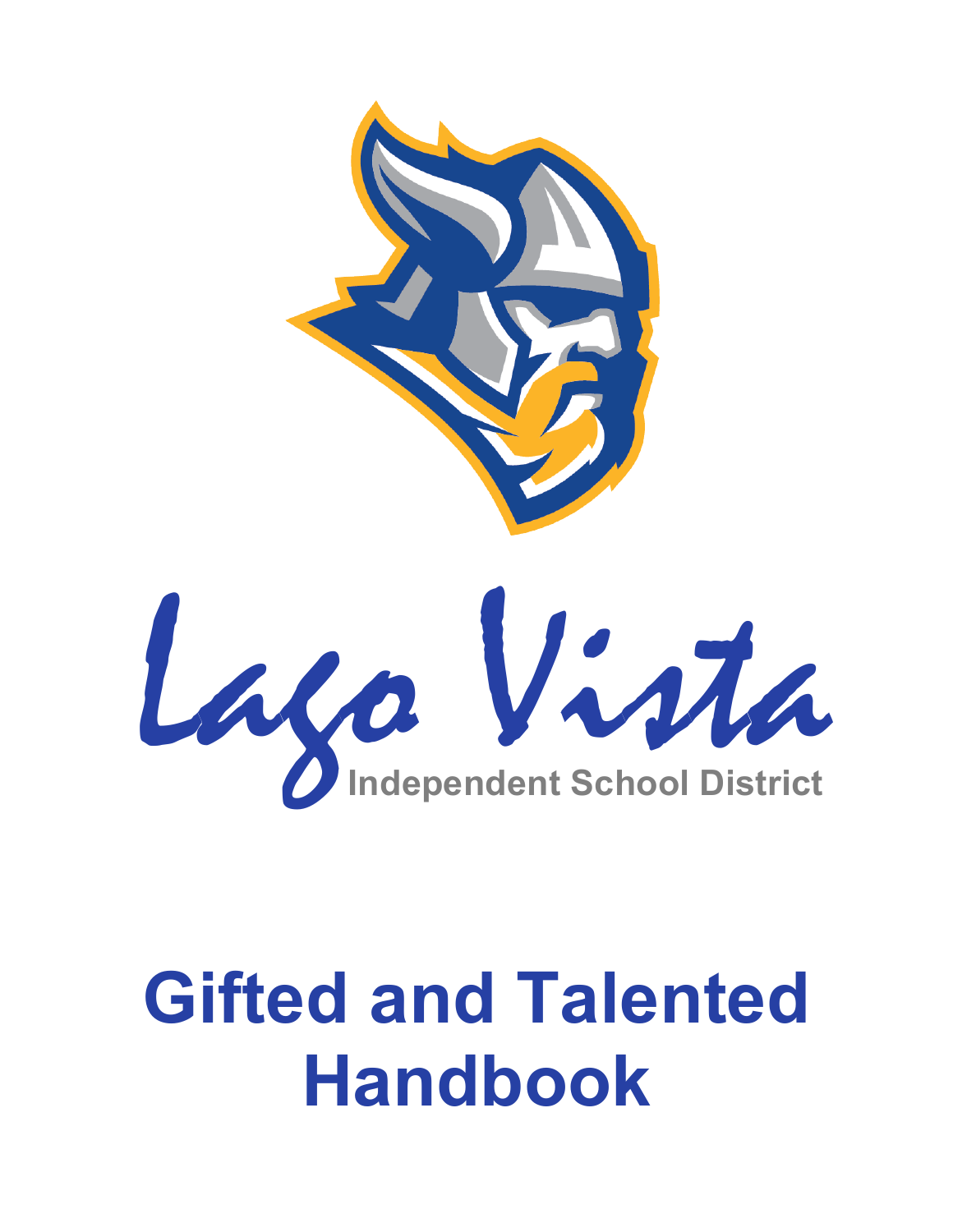

# **Gifted and Talented Handbook**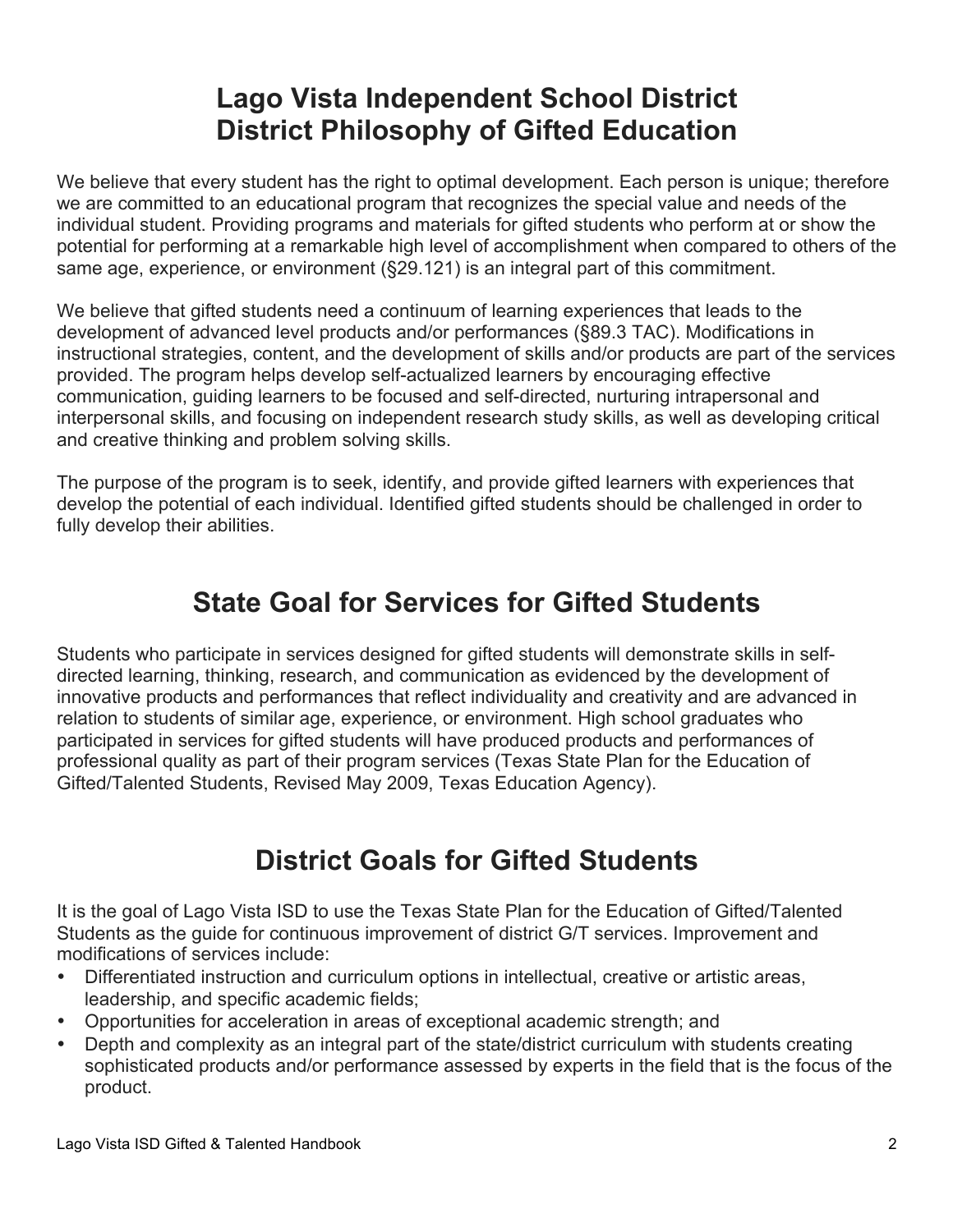# **Lago Vista Independent School District District Philosophy of Gifted Education**

We believe that every student has the right to optimal development. Each person is unique; therefore we are committed to an educational program that recognizes the special value and needs of the individual student. Providing programs and materials for gifted students who perform at or show the potential for performing at a remarkable high level of accomplishment when compared to others of the same age, experience, or environment (§29.121) is an integral part of this commitment.

We believe that gifted students need a continuum of learning experiences that leads to the development of advanced level products and/or performances (§89.3 TAC). Modifications in instructional strategies, content, and the development of skills and/or products are part of the services provided. The program helps develop self-actualized learners by encouraging effective communication, guiding learners to be focused and self-directed, nurturing intrapersonal and interpersonal skills, and focusing on independent research study skills, as well as developing critical and creative thinking and problem solving skills.

The purpose of the program is to seek, identify, and provide gifted learners with experiences that develop the potential of each individual. Identified gifted students should be challenged in order to fully develop their abilities.

# **State Goal for Services for Gifted Students**

Students who participate in services designed for gifted students will demonstrate skills in selfdirected learning, thinking, research, and communication as evidenced by the development of innovative products and performances that reflect individuality and creativity and are advanced in relation to students of similar age, experience, or environment. High school graduates who participated in services for gifted students will have produced products and performances of professional quality as part of their program services (Texas State Plan for the Education of Gifted/Talented Students, Revised May 2009, Texas Education Agency).

# **District Goals for Gifted Students**

It is the goal of Lago Vista ISD to use the Texas State Plan for the Education of Gifted/Talented Students as the guide for continuous improvement of district G/T services. Improvement and modifications of services include:

- Differentiated instruction and curriculum options in intellectual, creative or artistic areas, leadership, and specific academic fields;
- Opportunities for acceleration in areas of exceptional academic strength; and
- Depth and complexity as an integral part of the state/district curriculum with students creating sophisticated products and/or performance assessed by experts in the field that is the focus of the product.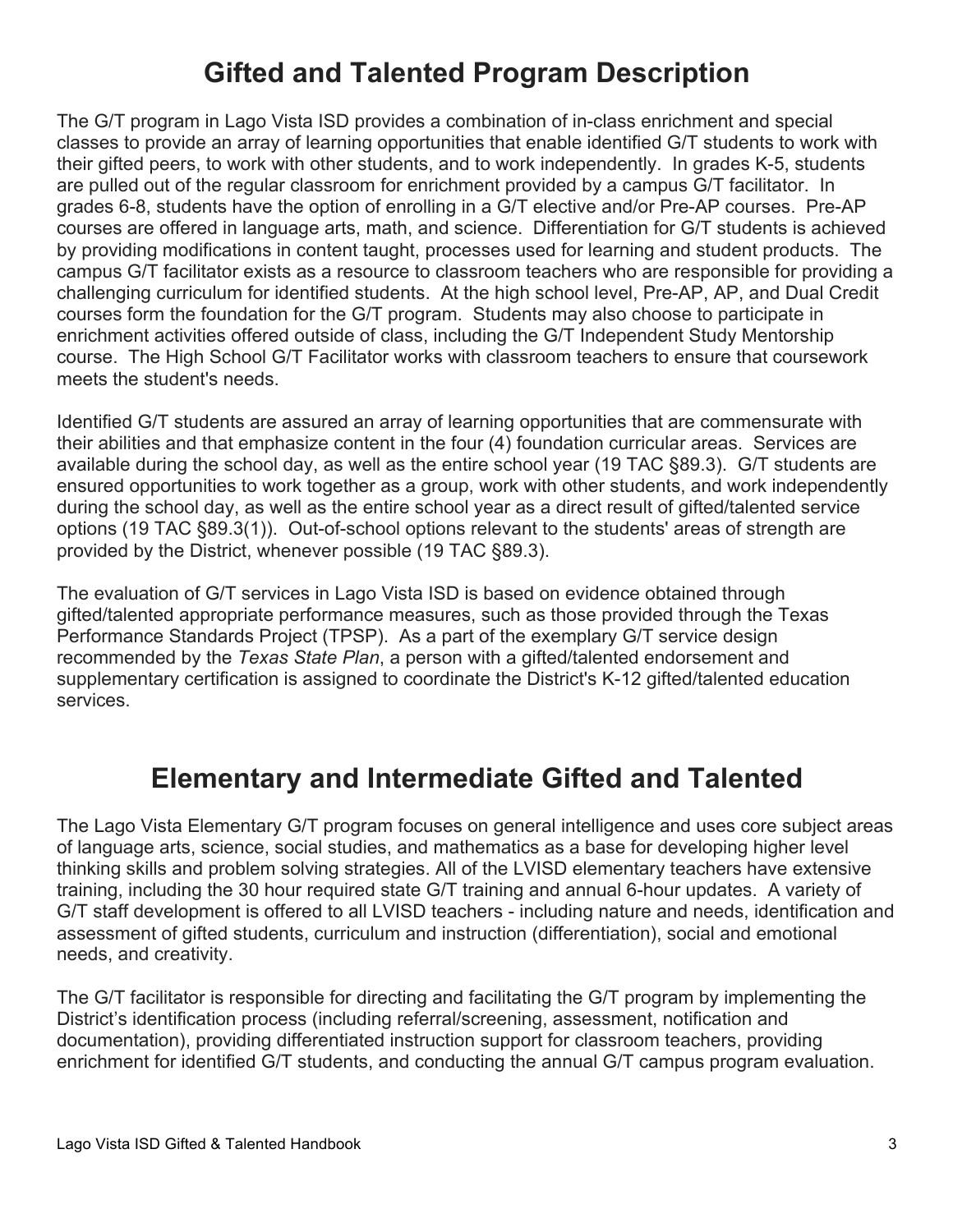# **Gifted and Talented Program Description**

The G/T program in Lago Vista ISD provides a combination of in-class enrichment and special classes to provide an array of learning opportunities that enable identified G/T students to work with their gifted peers, to work with other students, and to work independently. In grades K-5, students are pulled out of the regular classroom for enrichment provided by a campus G/T facilitator. In grades 6-8, students have the option of enrolling in a G/T elective and/or Pre-AP courses. Pre-AP courses are offered in language arts, math, and science. Differentiation for G/T students is achieved by providing modifications in content taught, processes used for learning and student products. The campus G/T facilitator exists as a resource to classroom teachers who are responsible for providing a challenging curriculum for identified students. At the high school level, Pre-AP, AP, and Dual Credit courses form the foundation for the G/T program. Students may also choose to participate in enrichment activities offered outside of class, including the G/T Independent Study Mentorship course. The High School G/T Facilitator works with classroom teachers to ensure that coursework meets the student's needs.

Identified G/T students are assured an array of learning opportunities that are commensurate with their abilities and that emphasize content in the four (4) foundation curricular areas. Services are available during the school day, as well as the entire school year (19 TAC §89.3). G/T students are ensured opportunities to work together as a group, work with other students, and work independently during the school day, as well as the entire school year as a direct result of gifted/talented service options (19 TAC §89.3(1)). Out-of-school options relevant to the students' areas of strength are provided by the District, whenever possible (19 TAC §89.3).

The evaluation of G/T services in Lago Vista ISD is based on evidence obtained through gifted/talented appropriate performance measures, such as those provided through the Texas Performance Standards Project (TPSP). As a part of the exemplary G/T service design recommended by the *Texas State Plan*, a person with a gifted/talented endorsement and supplementary certification is assigned to coordinate the District's K-12 gifted/talented education services.

# **Elementary and Intermediate Gifted and Talented**

The Lago Vista Elementary G/T program focuses on general intelligence and uses core subject areas of language arts, science, social studies, and mathematics as a base for developing higher level thinking skills and problem solving strategies. All of the LVISD elementary teachers have extensive training, including the 30 hour required state G/T training and annual 6-hour updates. A variety of G/T staff development is offered to all LVISD teachers - including nature and needs, identification and assessment of gifted students, curriculum and instruction (differentiation), social and emotional needs, and creativity.

The G/T facilitator is responsible for directing and facilitating the G/T program by implementing the District's identification process (including referral/screening, assessment, notification and documentation), providing differentiated instruction support for classroom teachers, providing enrichment for identified G/T students, and conducting the annual G/T campus program evaluation.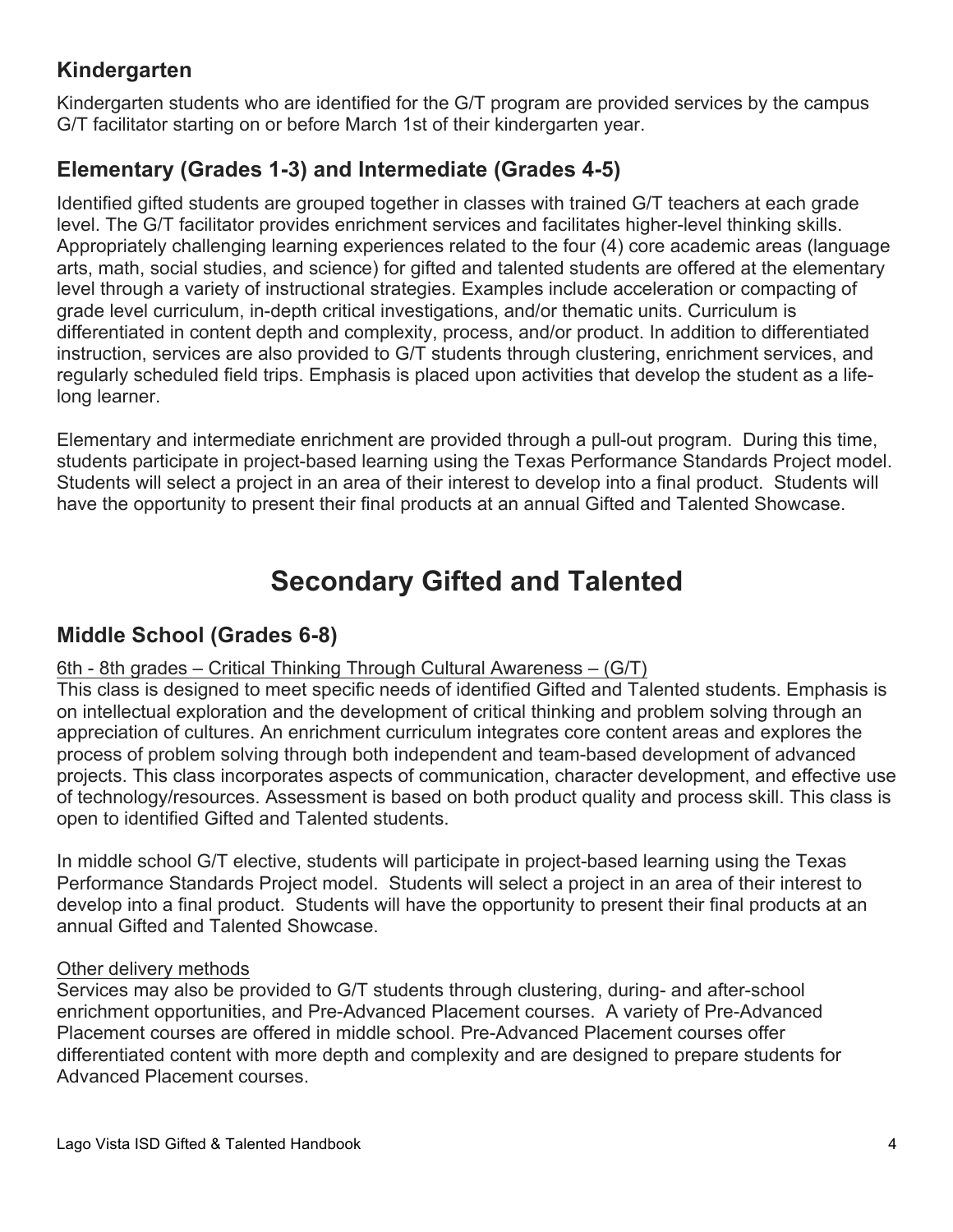# **Kindergarten**

Kindergarten students who are identified for the G/T program are provided services by the campus G/T facilitator starting on or before March 1st of their kindergarten year.

## **Elementary (Grades 1-3) and Intermediate (Grades 4-5)**

Identified gifted students are grouped together in classes with trained G/T teachers at each grade level. The G/T facilitator provides enrichment services and facilitates higher-level thinking skills. Appropriately challenging learning experiences related to the four (4) core academic areas (language arts, math, social studies, and science) for gifted and talented students are offered at the elementary level through a variety of instructional strategies. Examples include acceleration or compacting of grade level curriculum, in-depth critical investigations, and/or thematic units. Curriculum is differentiated in content depth and complexity, process, and/or product. In addition to differentiated instruction, services are also provided to G/T students through clustering, enrichment services, and regularly scheduled field trips. Emphasis is placed upon activities that develop the student as a lifelong learner.

Elementary and intermediate enrichment are provided through a pull-out program. During this time, students participate in project-based learning using the Texas Performance Standards Project model. Students will select a project in an area of their interest to develop into a final product. Students will have the opportunity to present their final products at an annual Gifted and Talented Showcase.

# **Secondary Gifted and Talented**

## **Middle School (Grades 6-8)**

#### 6th - 8th grades – Critical Thinking Through Cultural Awareness – (G/T)

This class is designed to meet specific needs of identified Gifted and Talented students. Emphasis is on intellectual exploration and the development of critical thinking and problem solving through an appreciation of cultures. An enrichment curriculum integrates core content areas and explores the process of problem solving through both independent and team-based development of advanced projects. This class incorporates aspects of communication, character development, and effective use of technology/resources. Assessment is based on both product quality and process skill. This class is open to identified Gifted and Talented students.

In middle school G/T elective, students will participate in project-based learning using the Texas Performance Standards Project model. Students will select a project in an area of their interest to develop into a final product. Students will have the opportunity to present their final products at an annual Gifted and Talented Showcase.

#### Other delivery methods

Services may also be provided to G/T students through clustering, during- and after-school enrichment opportunities, and Pre-Advanced Placement courses. A variety of Pre-Advanced Placement courses are offered in middle school. Pre-Advanced Placement courses offer differentiated content with more depth and complexity and are designed to prepare students for Advanced Placement courses.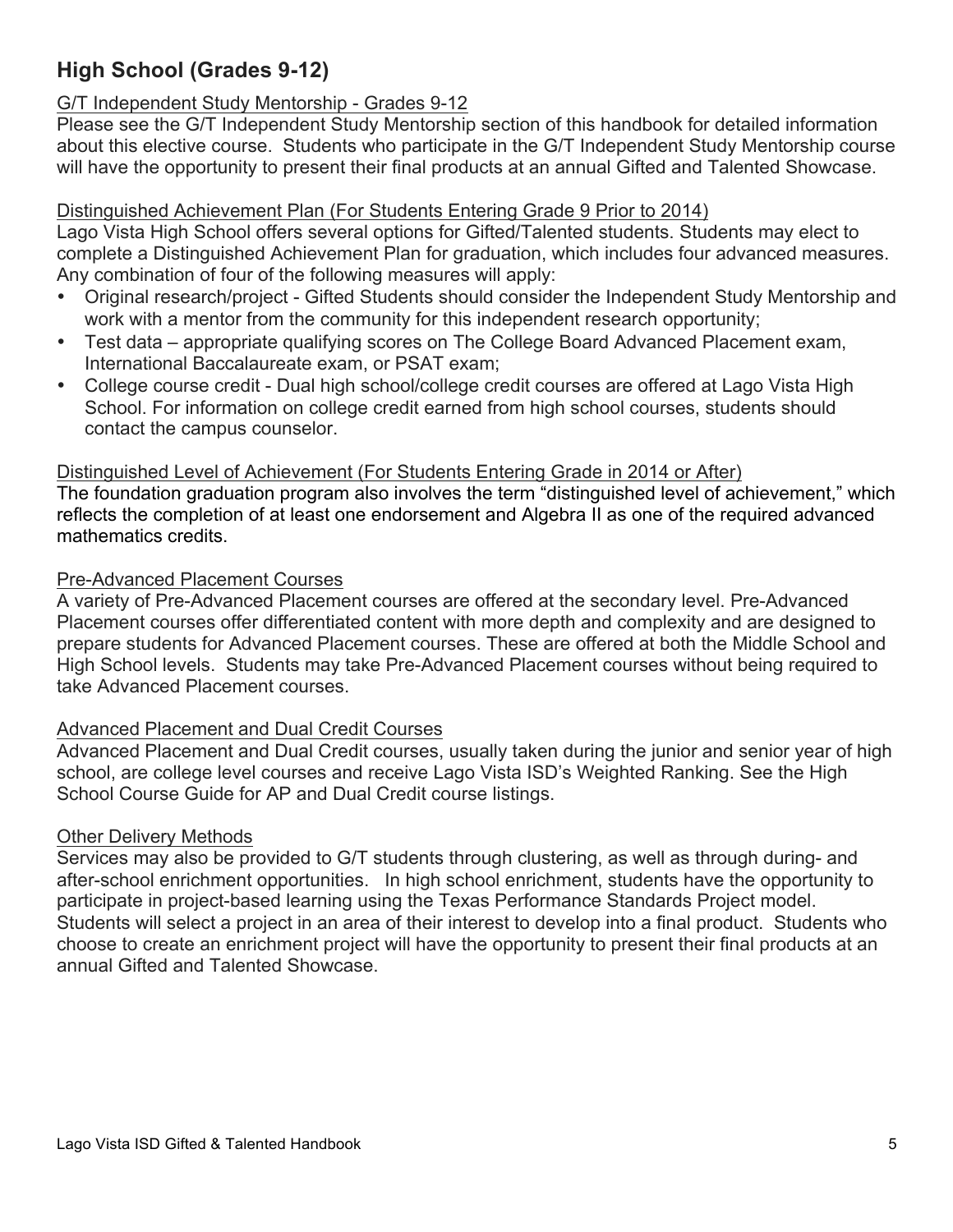# **High School (Grades 9-12)**

#### G/T Independent Study Mentorship - Grades 9-12

Please see the G/T Independent Study Mentorship section of this handbook for detailed information about this elective course. Students who participate in the G/T Independent Study Mentorship course will have the opportunity to present their final products at an annual Gifted and Talented Showcase.

#### Distinguished Achievement Plan (For Students Entering Grade 9 Prior to 2014)

Lago Vista High School offers several options for Gifted/Talented students. Students may elect to complete a Distinguished Achievement Plan for graduation, which includes four advanced measures. Any combination of four of the following measures will apply:

- Original research/project Gifted Students should consider the Independent Study Mentorship and work with a mentor from the community for this independent research opportunity;
- Test data appropriate qualifying scores on The College Board Advanced Placement exam, International Baccalaureate exam, or PSAT exam;
- College course credit Dual high school/college credit courses are offered at Lago Vista High School. For information on college credit earned from high school courses, students should contact the campus counselor.

#### Distinguished Level of Achievement (For Students Entering Grade in 2014 or After)

The foundation graduation program also involves the term "distinguished level of achievement," which reflects the completion of at least one endorsement and Algebra II as one of the required advanced mathematics credits.

#### Pre-Advanced Placement Courses

A variety of Pre-Advanced Placement courses are offered at the secondary level. Pre-Advanced Placement courses offer differentiated content with more depth and complexity and are designed to prepare students for Advanced Placement courses. These are offered at both the Middle School and High School levels. Students may take Pre-Advanced Placement courses without being required to take Advanced Placement courses.

#### Advanced Placement and Dual Credit Courses

Advanced Placement and Dual Credit courses, usually taken during the junior and senior year of high school, are college level courses and receive Lago Vista ISD's Weighted Ranking. See the High School Course Guide for AP and Dual Credit course listings.

#### Other Delivery Methods

Services may also be provided to G/T students through clustering, as well as through during- and after-school enrichment opportunities. In high school enrichment, students have the opportunity to participate in project-based learning using the Texas Performance Standards Project model. Students will select a project in an area of their interest to develop into a final product. Students who choose to create an enrichment project will have the opportunity to present their final products at an annual Gifted and Talented Showcase.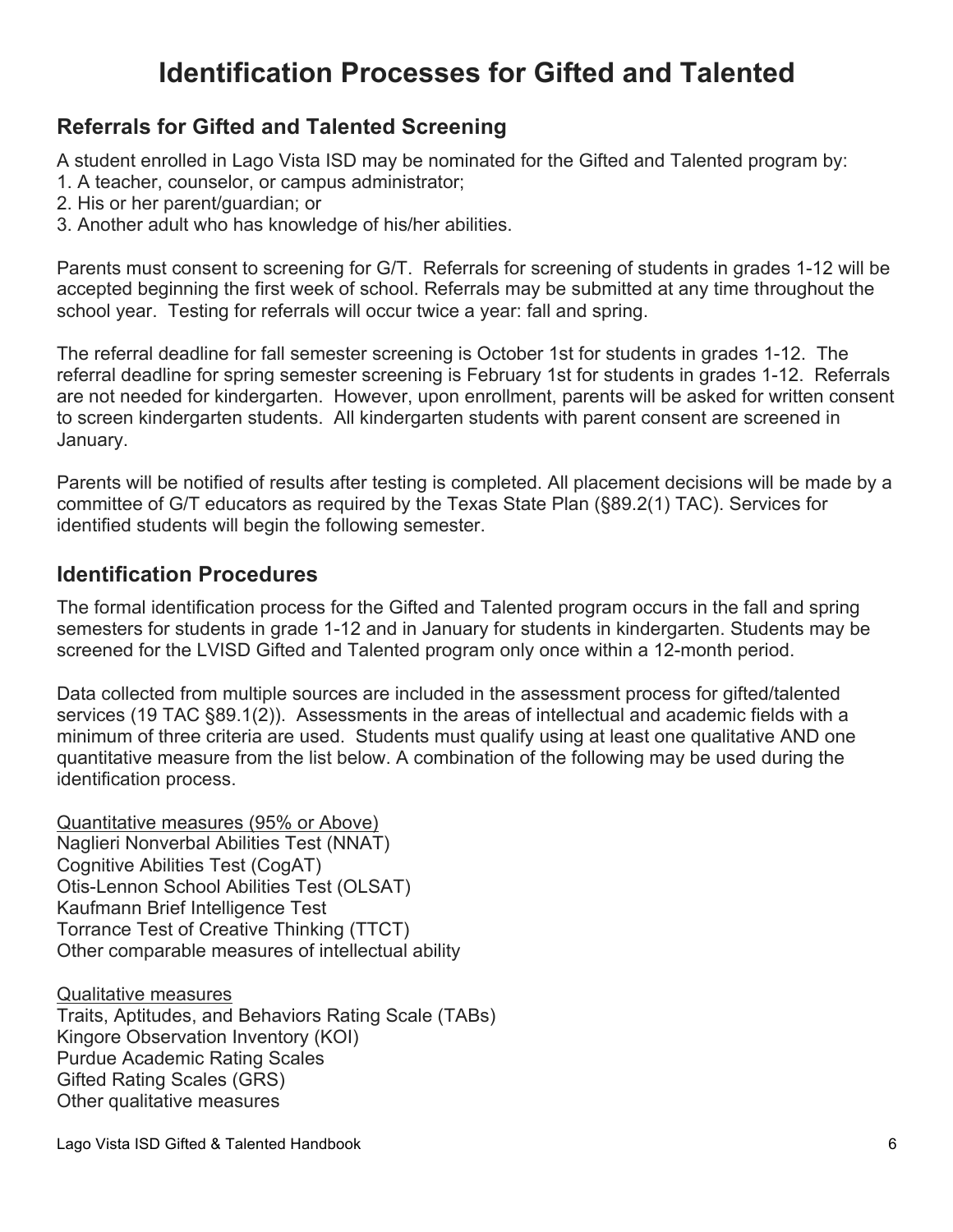# **Identification Processes for Gifted and Talented**

#### **Referrals for Gifted and Talented Screening**

A student enrolled in Lago Vista ISD may be nominated for the Gifted and Talented program by:

- 1. A teacher, counselor, or campus administrator;
- 2. His or her parent/guardian; or
- 3. Another adult who has knowledge of his/her abilities.

Parents must consent to screening for G/T. Referrals for screening of students in grades 1-12 will be accepted beginning the first week of school. Referrals may be submitted at any time throughout the school year. Testing for referrals will occur twice a year: fall and spring.

The referral deadline for fall semester screening is October 1st for students in grades 1-12. The referral deadline for spring semester screening is February 1st for students in grades 1-12. Referrals are not needed for kindergarten. However, upon enrollment, parents will be asked for written consent to screen kindergarten students. All kindergarten students with parent consent are screened in January.

Parents will be notified of results after testing is completed. All placement decisions will be made by a committee of G/T educators as required by the Texas State Plan (§89.2(1) TAC). Services for identified students will begin the following semester.

#### **Identification Procedures**

The formal identification process for the Gifted and Talented program occurs in the fall and spring semesters for students in grade 1-12 and in January for students in kindergarten. Students may be screened for the LVISD Gifted and Talented program only once within a 12-month period.

Data collected from multiple sources are included in the assessment process for gifted/talented services (19 TAC §89.1(2)). Assessments in the areas of intellectual and academic fields with a minimum of three criteria are used. Students must qualify using at least one qualitative AND one quantitative measure from the list below. A combination of the following may be used during the identification process.

Quantitative measures (95% or Above) Naglieri Nonverbal Abilities Test (NNAT) Cognitive Abilities Test (CogAT) Otis-Lennon School Abilities Test (OLSAT) Kaufmann Brief Intelligence Test Torrance Test of Creative Thinking (TTCT) Other comparable measures of intellectual ability

Qualitative measures Traits, Aptitudes, and Behaviors Rating Scale (TABs) Kingore Observation Inventory (KOI) Purdue Academic Rating Scales Gifted Rating Scales (GRS) Other qualitative measures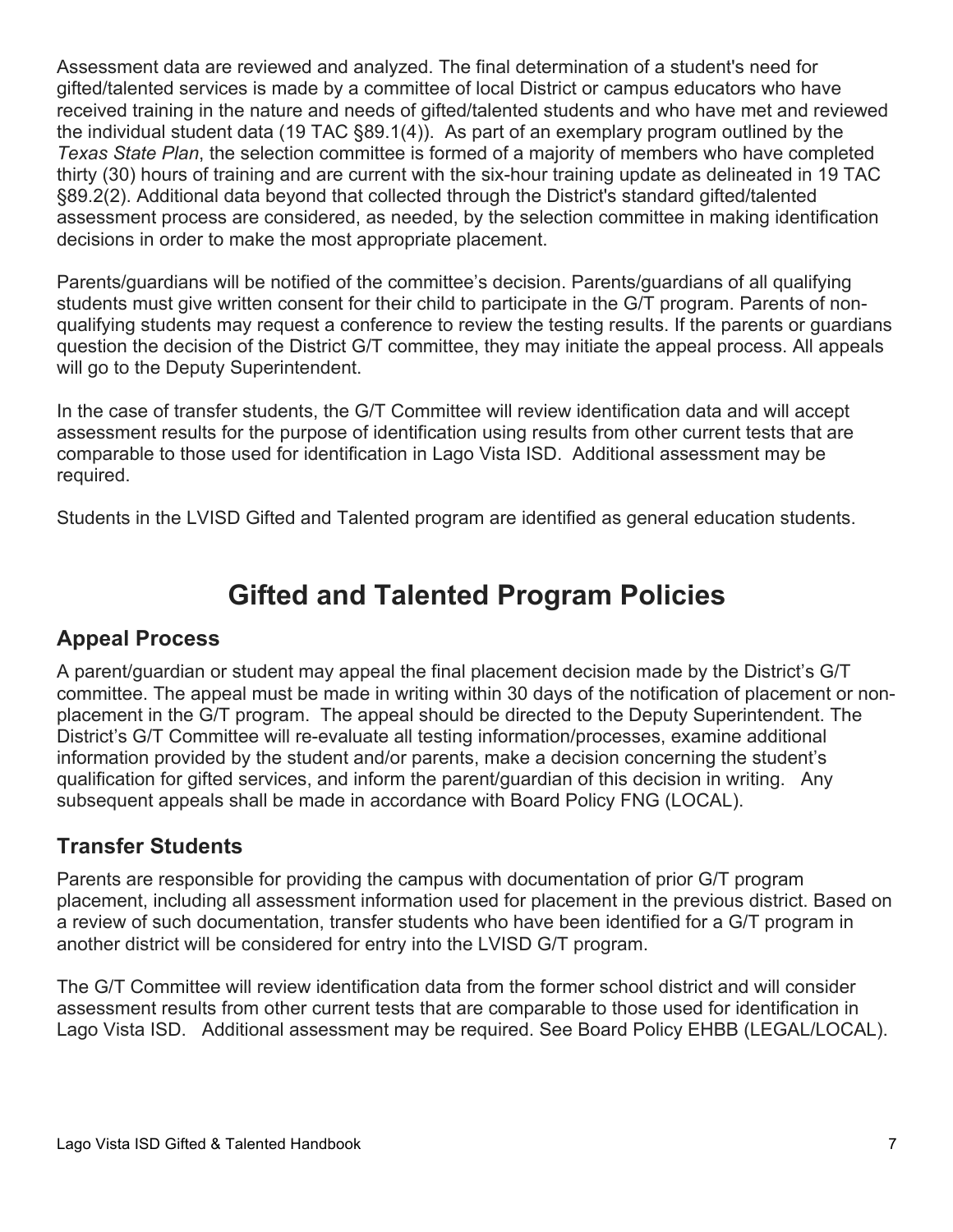Assessment data are reviewed and analyzed. The final determination of a student's need for gifted/talented services is made by a committee of local District or campus educators who have received training in the nature and needs of gifted/talented students and who have met and reviewed the individual student data (19 TAC §89.1(4)). As part of an exemplary program outlined by the *Texas State Plan*, the selection committee is formed of a majority of members who have completed thirty (30) hours of training and are current with the six-hour training update as delineated in 19 TAC §89.2(2). Additional data beyond that collected through the District's standard gifted/talented assessment process are considered, as needed, by the selection committee in making identification decisions in order to make the most appropriate placement.

Parents/guardians will be notified of the committee's decision. Parents/guardians of all qualifying students must give written consent for their child to participate in the G/T program. Parents of nonqualifying students may request a conference to review the testing results. If the parents or guardians question the decision of the District G/T committee, they may initiate the appeal process. All appeals will go to the Deputy Superintendent.

In the case of transfer students, the G/T Committee will review identification data and will accept assessment results for the purpose of identification using results from other current tests that are comparable to those used for identification in Lago Vista ISD. Additional assessment may be required.

Students in the LVISD Gifted and Talented program are identified as general education students.

# **Gifted and Talented Program Policies**

#### **Appeal Process**

A parent/guardian or student may appeal the final placement decision made by the District's G/T committee. The appeal must be made in writing within 30 days of the notification of placement or nonplacement in the G/T program. The appeal should be directed to the Deputy Superintendent. The District's G/T Committee will re-evaluate all testing information/processes, examine additional information provided by the student and/or parents, make a decision concerning the student's qualification for gifted services, and inform the parent/guardian of this decision in writing. Any subsequent appeals shall be made in accordance with Board Policy FNG (LOCAL).

#### **Transfer Students**

Parents are responsible for providing the campus with documentation of prior G/T program placement, including all assessment information used for placement in the previous district. Based on a review of such documentation, transfer students who have been identified for a G/T program in another district will be considered for entry into the LVISD G/T program.

The G/T Committee will review identification data from the former school district and will consider assessment results from other current tests that are comparable to those used for identification in Lago Vista ISD. Additional assessment may be required. See Board Policy EHBB (LEGAL/LOCAL).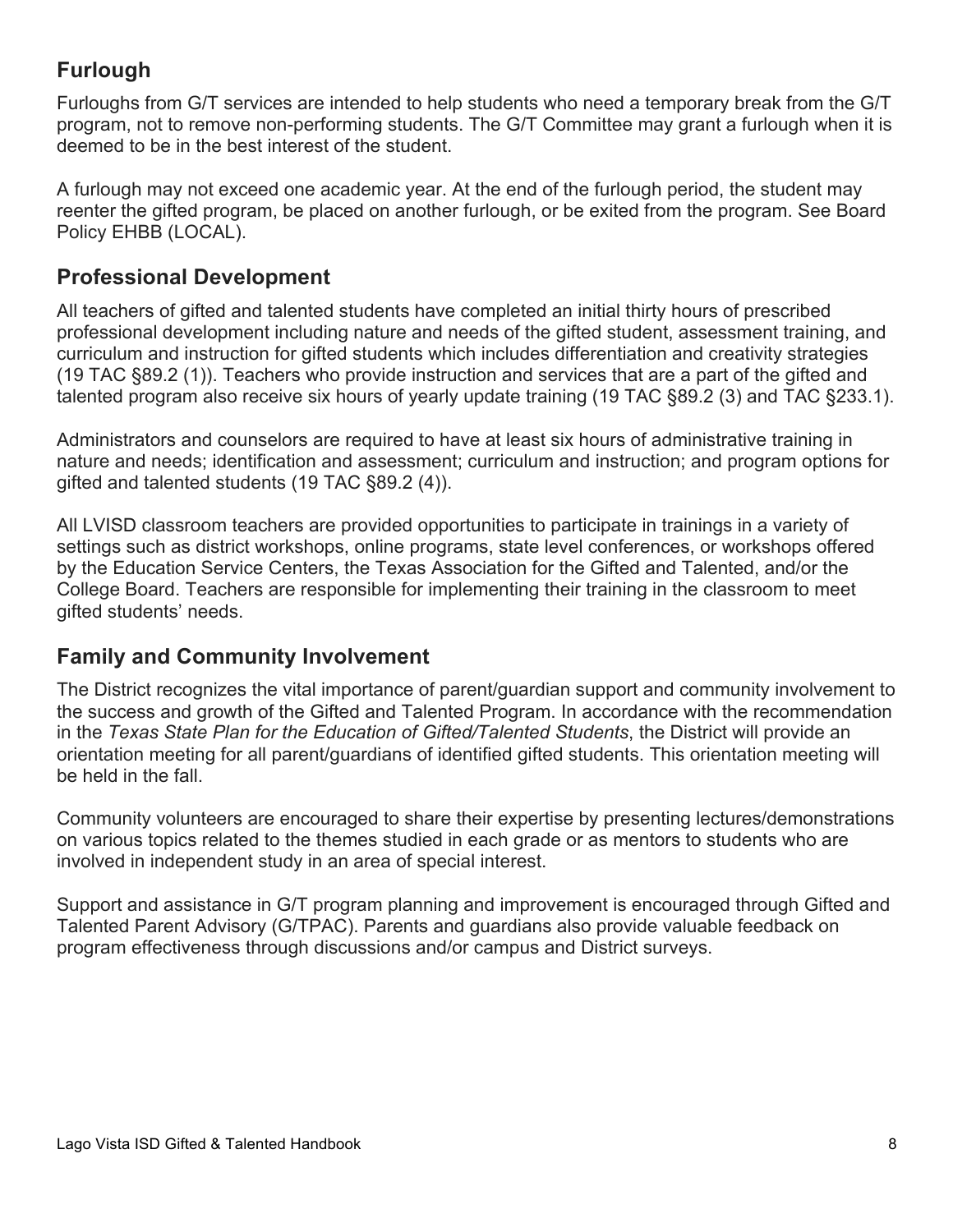# **Furlough**

Furloughs from G/T services are intended to help students who need a temporary break from the G/T program, not to remove non-performing students. The G/T Committee may grant a furlough when it is deemed to be in the best interest of the student.

A furlough may not exceed one academic year. At the end of the furlough period, the student may reenter the gifted program, be placed on another furlough, or be exited from the program. See Board Policy EHBB (LOCAL).

## **Professional Development**

All teachers of gifted and talented students have completed an initial thirty hours of prescribed professional development including nature and needs of the gifted student, assessment training, and curriculum and instruction for gifted students which includes differentiation and creativity strategies (19 TAC §89.2 (1)). Teachers who provide instruction and services that are a part of the gifted and talented program also receive six hours of yearly update training (19 TAC §89.2 (3) and TAC §233.1).

Administrators and counselors are required to have at least six hours of administrative training in nature and needs; identification and assessment; curriculum and instruction; and program options for gifted and talented students (19 TAC §89.2 (4)).

All LVISD classroom teachers are provided opportunities to participate in trainings in a variety of settings such as district workshops, online programs, state level conferences, or workshops offered by the Education Service Centers, the Texas Association for the Gifted and Talented, and/or the College Board. Teachers are responsible for implementing their training in the classroom to meet gifted students' needs.

## **Family and Community Involvement**

The District recognizes the vital importance of parent/guardian support and community involvement to the success and growth of the Gifted and Talented Program. In accordance with the recommendation in the *Texas State Plan for the Education of Gifted/Talented Students*, the District will provide an orientation meeting for all parent/guardians of identified gifted students. This orientation meeting will be held in the fall.

Community volunteers are encouraged to share their expertise by presenting lectures/demonstrations on various topics related to the themes studied in each grade or as mentors to students who are involved in independent study in an area of special interest.

Support and assistance in G/T program planning and improvement is encouraged through Gifted and Talented Parent Advisory (G/TPAC). Parents and guardians also provide valuable feedback on program effectiveness through discussions and/or campus and District surveys.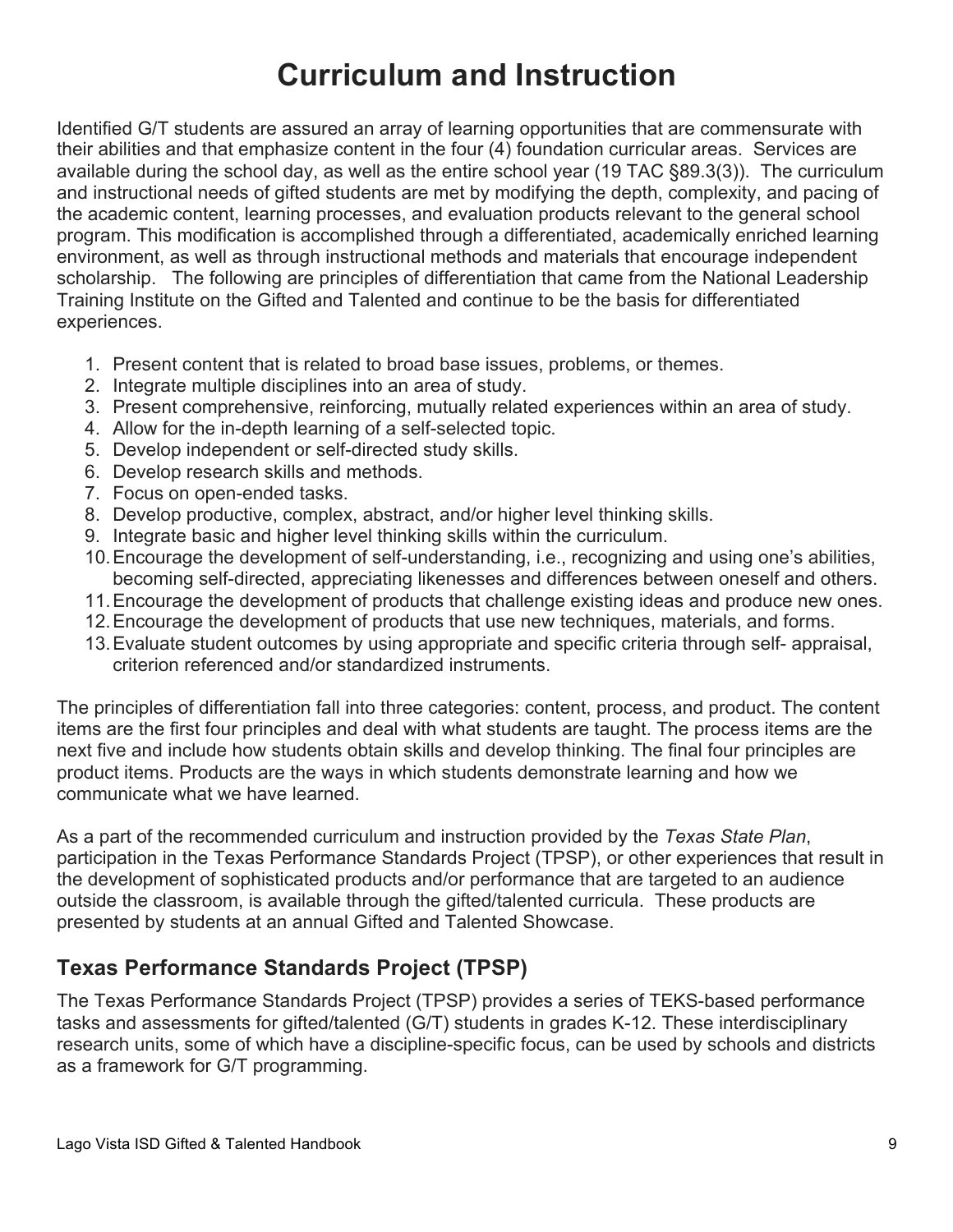# **Curriculum and Instruction**

Identified G/T students are assured an array of learning opportunities that are commensurate with their abilities and that emphasize content in the four (4) foundation curricular areas. Services are available during the school day, as well as the entire school year (19 TAC §89.3(3)). The curriculum and instructional needs of gifted students are met by modifying the depth, complexity, and pacing of the academic content, learning processes, and evaluation products relevant to the general school program. This modification is accomplished through a differentiated, academically enriched learning environment, as well as through instructional methods and materials that encourage independent scholarship. The following are principles of differentiation that came from the National Leadership Training Institute on the Gifted and Talented and continue to be the basis for differentiated experiences.

- 1. Present content that is related to broad base issues, problems, or themes.
- 2. Integrate multiple disciplines into an area of study.
- 3. Present comprehensive, reinforcing, mutually related experiences within an area of study.
- 4. Allow for the in-depth learning of a self-selected topic.
- 5. Develop independent or self-directed study skills.
- 6. Develop research skills and methods.
- 7. Focus on open-ended tasks.
- 8. Develop productive, complex, abstract, and/or higher level thinking skills.
- 9. Integrate basic and higher level thinking skills within the curriculum.
- 10.Encourage the development of self-understanding, i.e., recognizing and using one's abilities, becoming self-directed, appreciating likenesses and differences between oneself and others.
- 11.Encourage the development of products that challenge existing ideas and produce new ones.
- 12.Encourage the development of products that use new techniques, materials, and forms.
- 13.Evaluate student outcomes by using appropriate and specific criteria through self- appraisal, criterion referenced and/or standardized instruments.

The principles of differentiation fall into three categories: content, process, and product. The content items are the first four principles and deal with what students are taught. The process items are the next five and include how students obtain skills and develop thinking. The final four principles are product items. Products are the ways in which students demonstrate learning and how we communicate what we have learned.

As a part of the recommended curriculum and instruction provided by the *Texas State Plan*, participation in the Texas Performance Standards Project (TPSP), or other experiences that result in the development of sophisticated products and/or performance that are targeted to an audience outside the classroom, is available through the gifted/talented curricula. These products are presented by students at an annual Gifted and Talented Showcase.

#### **Texas Performance Standards Project (TPSP)**

The Texas Performance Standards Project (TPSP) provides a series of TEKS-based performance tasks and assessments for gifted/talented (G/T) students in grades K-12. These interdisciplinary research units, some of which have a discipline-specific focus, can be used by schools and districts as a framework for G/T programming.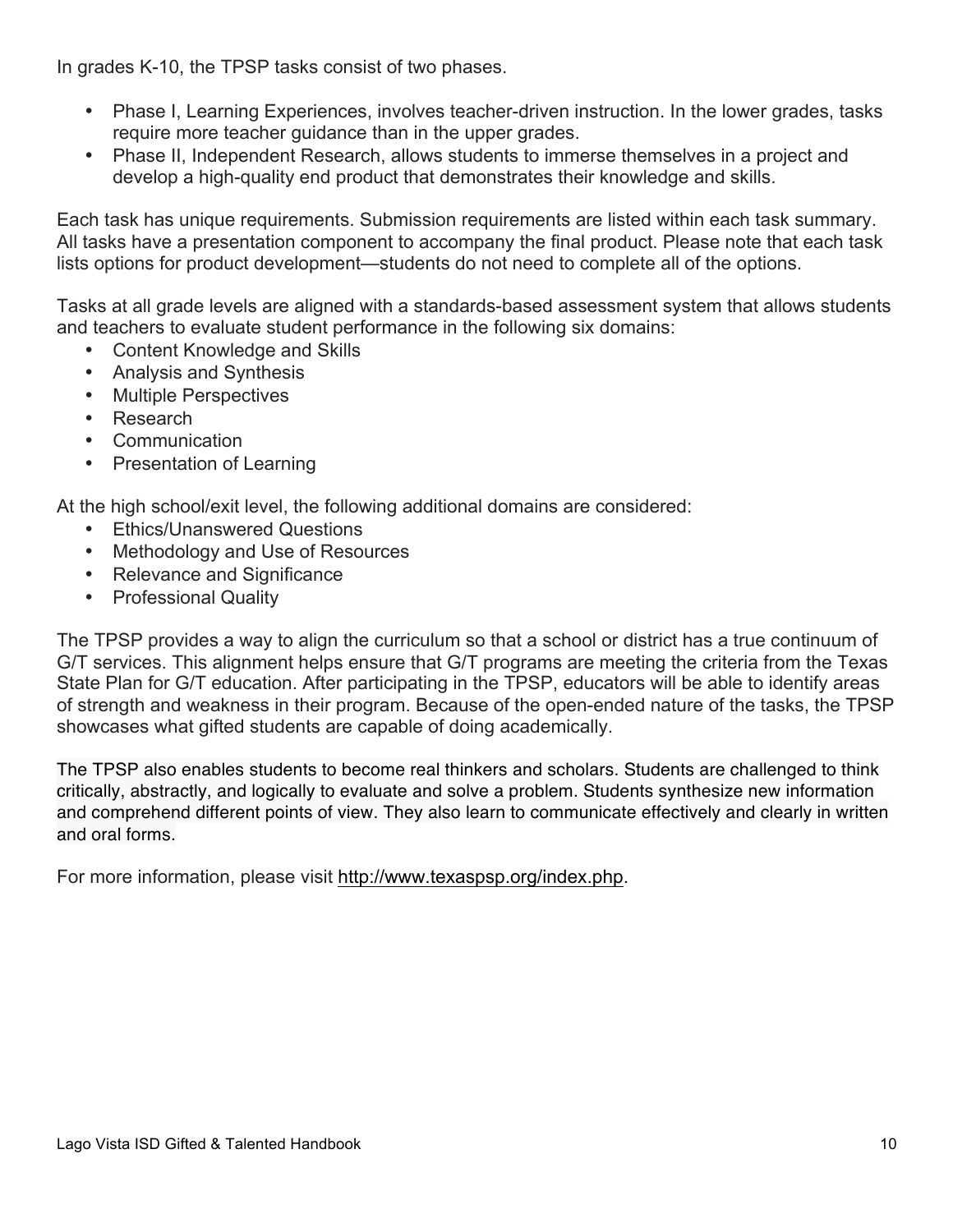In grades K-10, the TPSP tasks consist of two phases.

- Phase I, Learning Experiences, involves teacher-driven instruction. In the lower grades, tasks require more teacher guidance than in the upper grades.
- Phase II, Independent Research, allows students to immerse themselves in a project and develop a high-quality end product that demonstrates their knowledge and skills.

Each task has unique requirements. Submission requirements are listed within each task summary. All tasks have a presentation component to accompany the final product. Please note that each task lists options for product development—students do not need to complete all of the options.

Tasks at all grade levels are aligned with a standards-based assessment system that allows students and teachers to evaluate student performance in the following six domains:

- Content Knowledge and Skills
- Analysis and Synthesis
- Multiple Perspectives
- Research
- Communication
- Presentation of Learning

At the high school/exit level, the following additional domains are considered:

- Ethics/Unanswered Questions
- Methodology and Use of Resources
- Relevance and Significance
- Professional Quality

The TPSP provides a way to align the curriculum so that a school or district has a true continuum of G/T services. This alignment helps ensure that G/T programs are meeting the criteria from the Texas State Plan for G/T education. After participating in the TPSP, educators will be able to identify areas of strength and weakness in their program. Because of the open-ended nature of the tasks, the TPSP showcases what gifted students are capable of doing academically.

The TPSP also enables students to become real thinkers and scholars. Students are challenged to think critically, abstractly, and logically to evaluate and solve a problem. Students synthesize new information and comprehend different points of view. They also learn to communicate effectively and clearly in written and oral forms.

For more information, please visit http://www.texaspsp.org/index.php.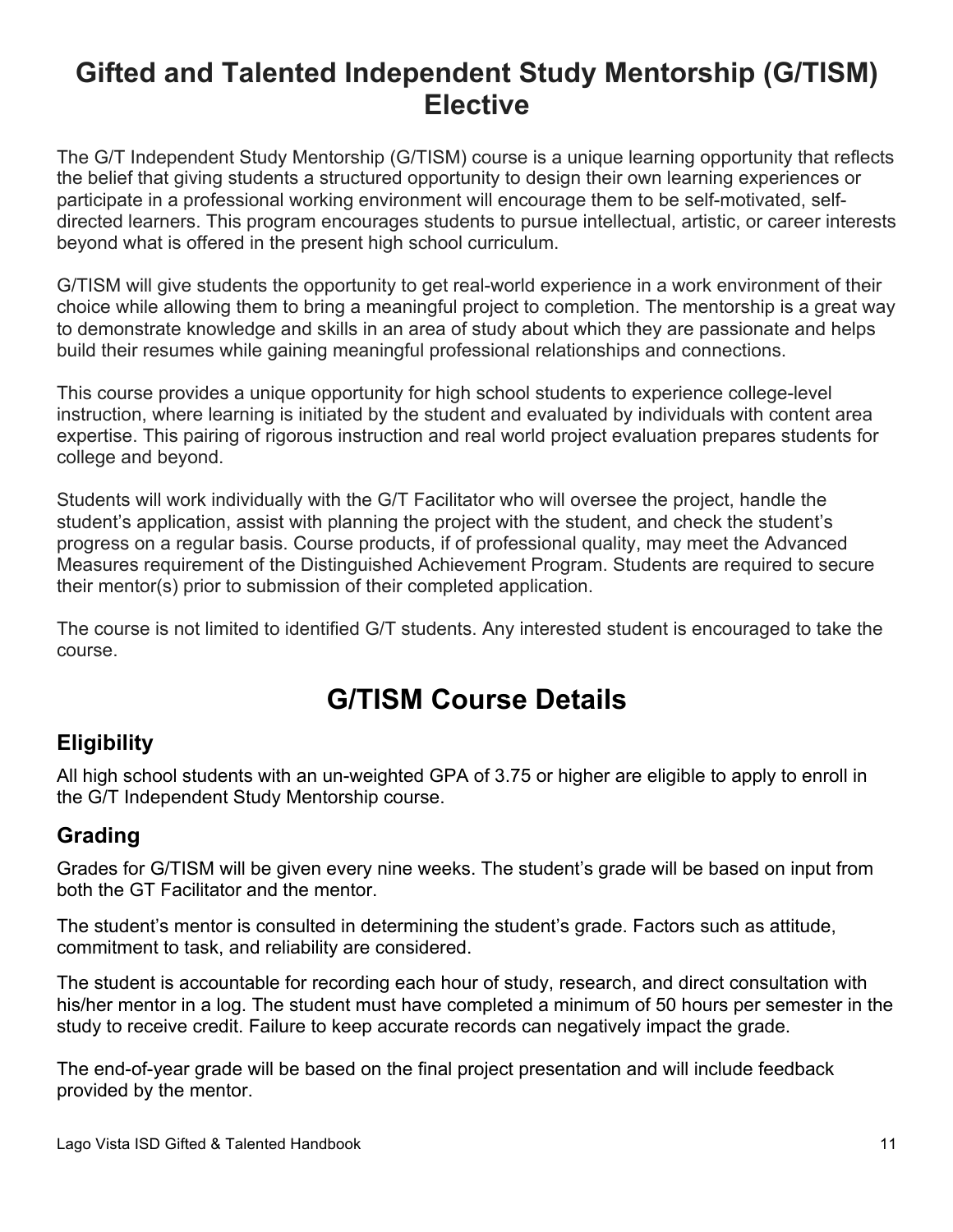# **Gifted and Talented Independent Study Mentorship (G/TISM) Elective**

The G/T Independent Study Mentorship (G/TISM) course is a unique learning opportunity that reflects the belief that giving students a structured opportunity to design their own learning experiences or participate in a professional working environment will encourage them to be self-motivated, selfdirected learners. This program encourages students to pursue intellectual, artistic, or career interests beyond what is offered in the present high school curriculum.

G/TISM will give students the opportunity to get real-world experience in a work environment of their choice while allowing them to bring a meaningful project to completion. The mentorship is a great way to demonstrate knowledge and skills in an area of study about which they are passionate and helps build their resumes while gaining meaningful professional relationships and connections.

This course provides a unique opportunity for high school students to experience college-level instruction, where learning is initiated by the student and evaluated by individuals with content area expertise. This pairing of rigorous instruction and real world project evaluation prepares students for college and beyond.

Students will work individually with the G/T Facilitator who will oversee the project, handle the student's application, assist with planning the project with the student, and check the student's progress on a regular basis. Course products, if of professional quality, may meet the Advanced Measures requirement of the Distinguished Achievement Program. Students are required to secure their mentor(s) prior to submission of their completed application.

The course is not limited to identified G/T students. Any interested student is encouraged to take the course.

# **G/TISM Course Details**

## **Eligibility**

All high school students with an un-weighted GPA of 3.75 or higher are eligible to apply to enroll in the G/T Independent Study Mentorship course.

## **Grading**

Grades for G/TISM will be given every nine weeks. The student's grade will be based on input from both the GT Facilitator and the mentor.

The student's mentor is consulted in determining the student's grade. Factors such as attitude, commitment to task, and reliability are considered.

The student is accountable for recording each hour of study, research, and direct consultation with his/her mentor in a log. The student must have completed a minimum of 50 hours per semester in the study to receive credit. Failure to keep accurate records can negatively impact the grade.

The end-of-year grade will be based on the final project presentation and will include feedback provided by the mentor.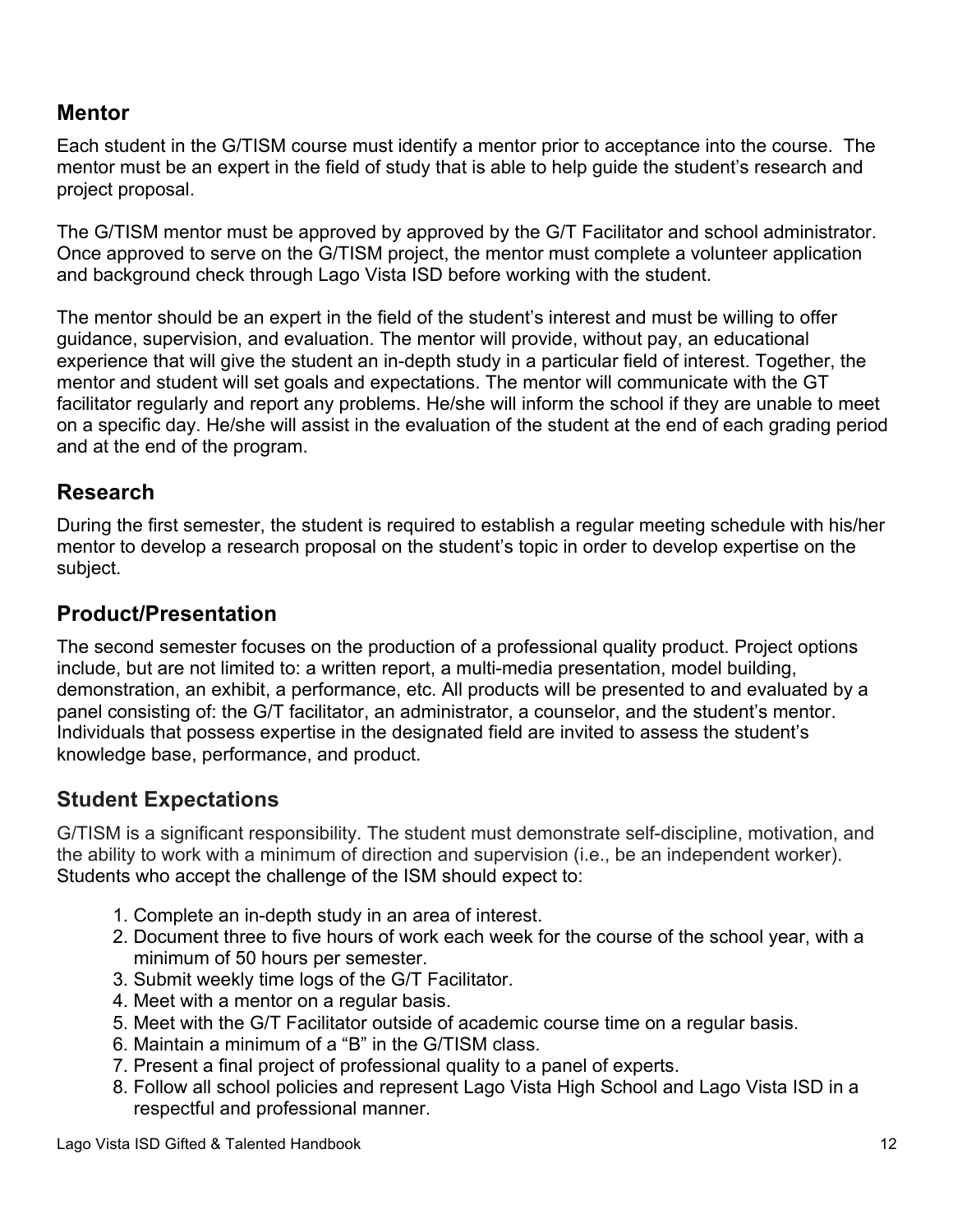#### **Mentor**

Each student in the G/TISM course must identify a mentor prior to acceptance into the course. The mentor must be an expert in the field of study that is able to help guide the student's research and project proposal.

The G/TISM mentor must be approved by approved by the G/T Facilitator and school administrator. Once approved to serve on the G/TISM project, the mentor must complete a volunteer application and background check through Lago Vista ISD before working with the student.

The mentor should be an expert in the field of the student's interest and must be willing to offer guidance, supervision, and evaluation. The mentor will provide, without pay, an educational experience that will give the student an in-depth study in a particular field of interest. Together, the mentor and student will set goals and expectations. The mentor will communicate with the GT facilitator regularly and report any problems. He/she will inform the school if they are unable to meet on a specific day. He/she will assist in the evaluation of the student at the end of each grading period and at the end of the program.

## **Research**

During the first semester, the student is required to establish a regular meeting schedule with his/her mentor to develop a research proposal on the student's topic in order to develop expertise on the subject.

## **Product/Presentation**

The second semester focuses on the production of a professional quality product. Project options include, but are not limited to: a written report, a multi-media presentation, model building, demonstration, an exhibit, a performance, etc. All products will be presented to and evaluated by a panel consisting of: the G/T facilitator, an administrator, a counselor, and the student's mentor. Individuals that possess expertise in the designated field are invited to assess the student's knowledge base, performance, and product.

## **Student Expectations**

G/TISM is a significant responsibility. The student must demonstrate self-discipline, motivation, and the ability to work with a minimum of direction and supervision (i.e., be an independent worker). Students who accept the challenge of the ISM should expect to:

- 1. Complete an in-depth study in an area of interest.
- 2. Document three to five hours of work each week for the course of the school year, with a minimum of 50 hours per semester.
- 3. Submit weekly time logs of the G/T Facilitator.
- 4. Meet with a mentor on a regular basis.
- 5. Meet with the G/T Facilitator outside of academic course time on a regular basis.
- 6. Maintain a minimum of a "B" in the G/TISM class.
- 7. Present a final project of professional quality to a panel of experts.
- 8. Follow all school policies and represent Lago Vista High School and Lago Vista ISD in a respectful and professional manner.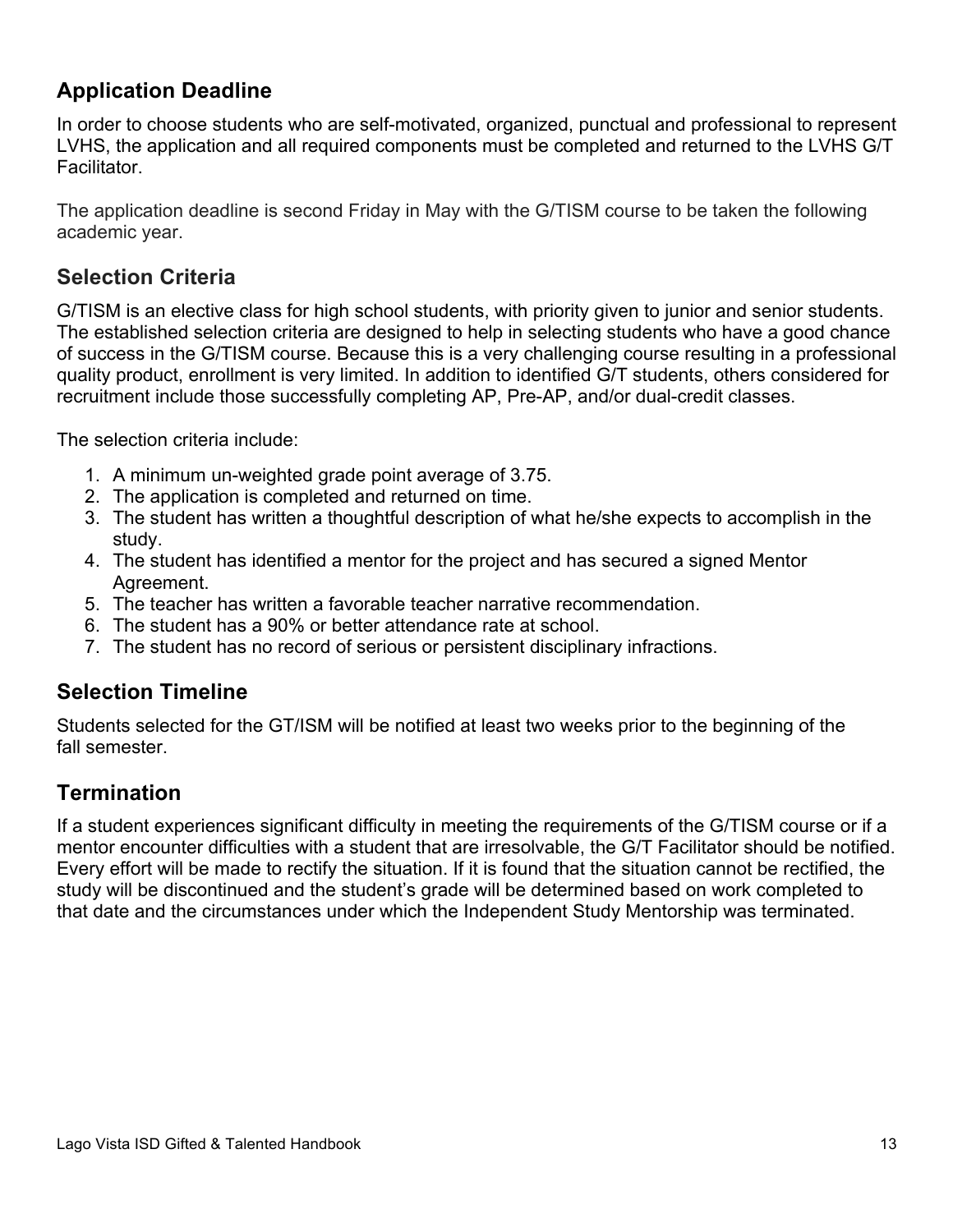## **Application Deadline**

In order to choose students who are self-motivated, organized, punctual and professional to represent LVHS, the application and all required components must be completed and returned to the LVHS G/T Facilitator.

The application deadline is second Friday in May with the G/TISM course to be taken the following academic year.

#### **Selection Criteria**

G/TISM is an elective class for high school students, with priority given to junior and senior students. The established selection criteria are designed to help in selecting students who have a good chance of success in the G/TISM course. Because this is a very challenging course resulting in a professional quality product, enrollment is very limited. In addition to identified G/T students, others considered for recruitment include those successfully completing AP, Pre-AP, and/or dual-credit classes.

The selection criteria include:

- 1. A minimum un-weighted grade point average of 3.75.
- 2. The application is completed and returned on time.
- 3. The student has written a thoughtful description of what he/she expects to accomplish in the study.
- 4. The student has identified a mentor for the project and has secured a signed Mentor Agreement.
- 5. The teacher has written a favorable teacher narrative recommendation.
- 6. The student has a 90% or better attendance rate at school.
- 7. The student has no record of serious or persistent disciplinary infractions.

#### **Selection Timeline**

Students selected for the GT/ISM will be notified at least two weeks prior to the beginning of the fall semester.

#### **Termination**

If a student experiences significant difficulty in meeting the requirements of the G/TISM course or if a mentor encounter difficulties with a student that are irresolvable, the G/T Facilitator should be notified. Every effort will be made to rectify the situation. If it is found that the situation cannot be rectified, the study will be discontinued and the student's grade will be determined based on work completed to that date and the circumstances under which the Independent Study Mentorship was terminated.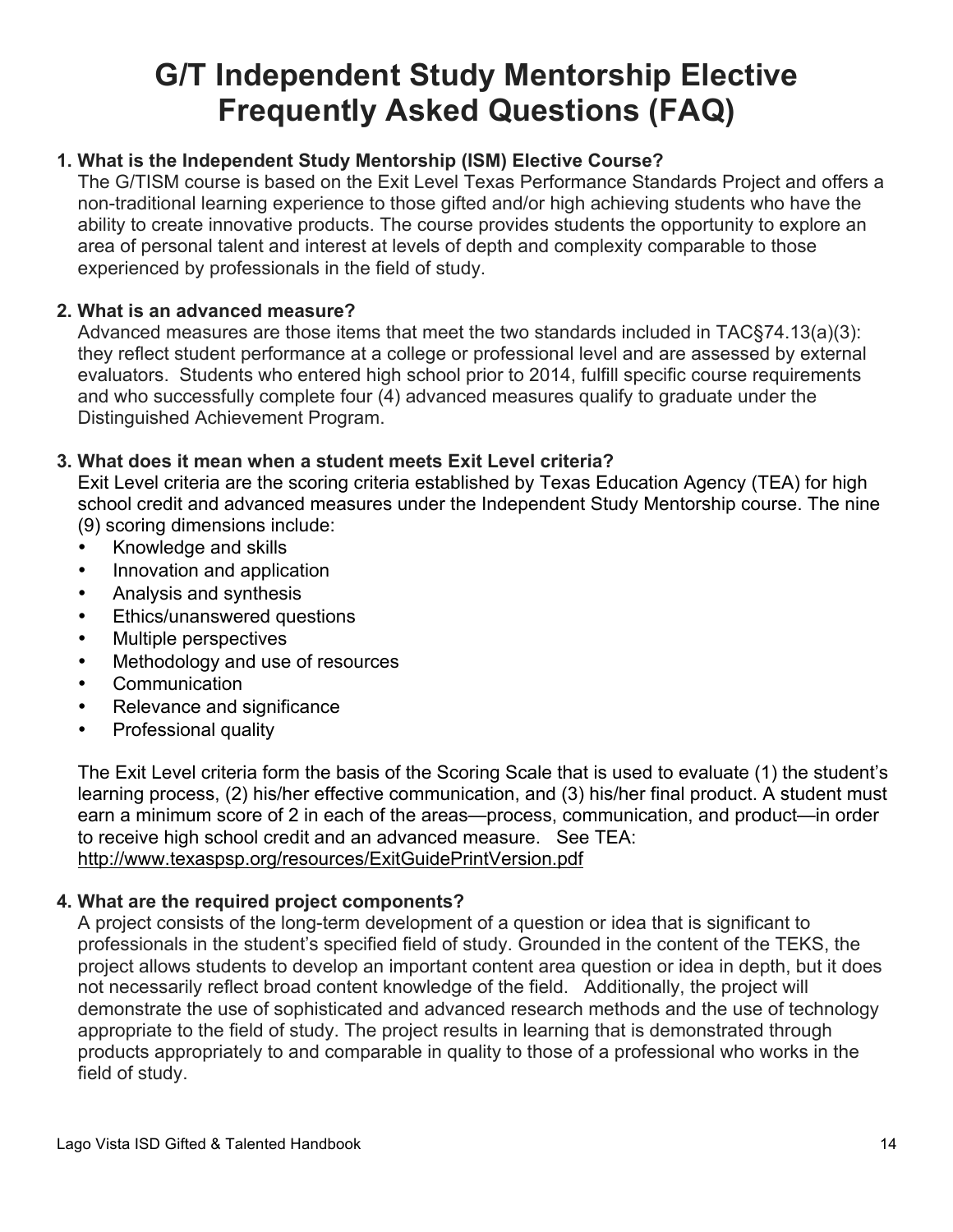# **G/T Independent Study Mentorship Elective Frequently Asked Questions (FAQ)**

#### **1. What is the Independent Study Mentorship (ISM) Elective Course?**

The G/TISM course is based on the Exit Level Texas Performance Standards Project and offers a non-traditional learning experience to those gifted and/or high achieving students who have the ability to create innovative products. The course provides students the opportunity to explore an area of personal talent and interest at levels of depth and complexity comparable to those experienced by professionals in the field of study.

#### **2. What is an advanced measure?**

Advanced measures are those items that meet the two standards included in TAC§74.13(a)(3): they reflect student performance at a college or professional level and are assessed by external evaluators. Students who entered high school prior to 2014, fulfill specific course requirements and who successfully complete four (4) advanced measures qualify to graduate under the Distinguished Achievement Program.

#### **3. What does it mean when a student meets Exit Level criteria?**

Exit Level criteria are the scoring criteria established by Texas Education Agency (TEA) for high school credit and advanced measures under the Independent Study Mentorship course. The nine (9) scoring dimensions include:

- Knowledge and skills
- Innovation and application
- Analysis and synthesis
- Ethics/unanswered questions
- Multiple perspectives
- Methodology and use of resources
- Communication
- Relevance and significance
- Professional quality

The Exit Level criteria form the basis of the Scoring Scale that is used to evaluate (1) the student's learning process, (2) his/her effective communication, and (3) his/her final product. A student must earn a minimum score of 2 in each of the areas—process, communication, and product—in order to receive high school credit and an advanced measure. See TEA: http://www.texaspsp.org/resources/ExitGuidePrintVersion.pdf

#### **4. What are the required project components?**

A project consists of the long-term development of a question or idea that is significant to professionals in the student's specified field of study. Grounded in the content of the TEKS, the project allows students to develop an important content area question or idea in depth, but it does not necessarily reflect broad content knowledge of the field. Additionally, the project will demonstrate the use of sophisticated and advanced research methods and the use of technology appropriate to the field of study. The project results in learning that is demonstrated through products appropriately to and comparable in quality to those of a professional who works in the field of study.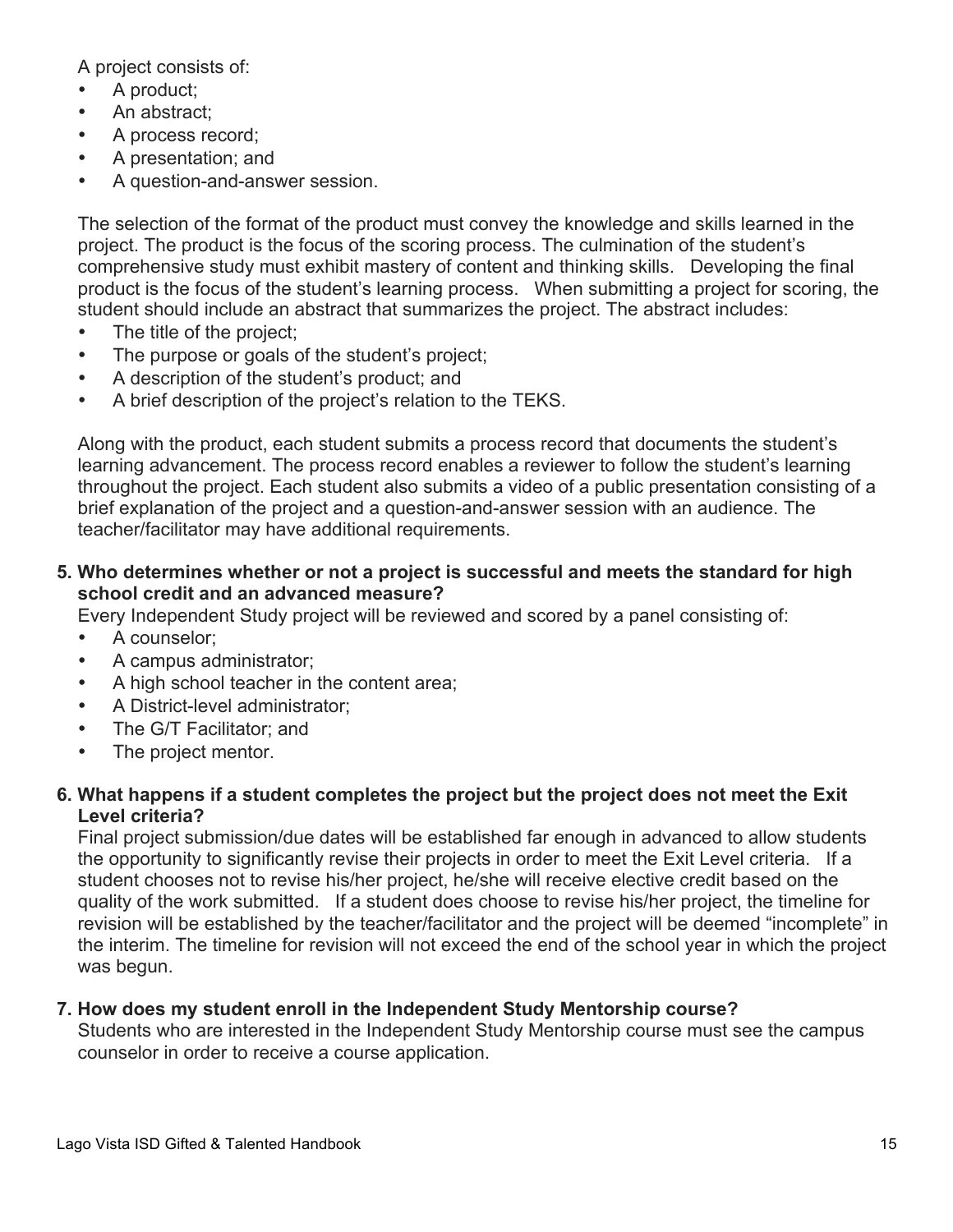A project consists of:

- A product;
- An abstract:
- A process record;
- A presentation; and
- A question-and-answer session.

The selection of the format of the product must convey the knowledge and skills learned in the project. The product is the focus of the scoring process. The culmination of the student's comprehensive study must exhibit mastery of content and thinking skills. Developing the final product is the focus of the student's learning process. When submitting a project for scoring, the student should include an abstract that summarizes the project. The abstract includes:

- The title of the project;
- The purpose or goals of the student's project;
- A description of the student's product; and
- A brief description of the project's relation to the TEKS.

Along with the product, each student submits a process record that documents the student's learning advancement. The process record enables a reviewer to follow the student's learning throughout the project. Each student also submits a video of a public presentation consisting of a brief explanation of the project and a question-and-answer session with an audience. The teacher/facilitator may have additional requirements.

**5. Who determines whether or not a project is successful and meets the standard for high school credit and an advanced measure?** 

Every Independent Study project will be reviewed and scored by a panel consisting of:

- A counselor;
- A campus administrator;
- A high school teacher in the content area;
- A District-level administrator;
- The G/T Facilitator: and
- The project mentor.

#### **6. What happens if a student completes the project but the project does not meet the Exit Level criteria?**

Final project submission/due dates will be established far enough in advanced to allow students the opportunity to significantly revise their projects in order to meet the Exit Level criteria. If a student chooses not to revise his/her project, he/she will receive elective credit based on the quality of the work submitted. If a student does choose to revise his/her project, the timeline for revision will be established by the teacher/facilitator and the project will be deemed "incomplete" in the interim. The timeline for revision will not exceed the end of the school year in which the project was begun.

#### **7. How does my student enroll in the Independent Study Mentorship course?**

Students who are interested in the Independent Study Mentorship course must see the campus counselor in order to receive a course application.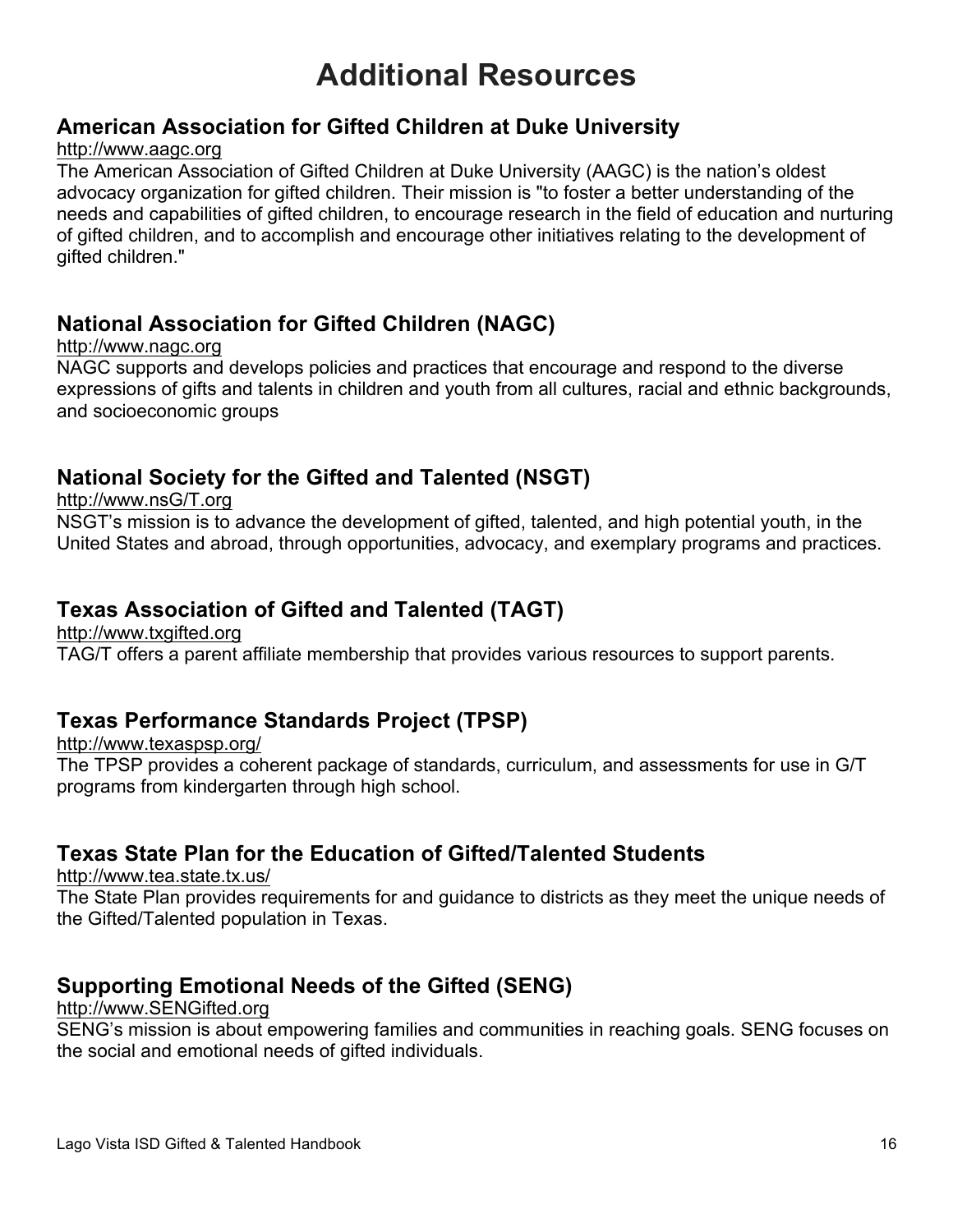# **Additional Resources**

#### **American Association for Gifted Children at Duke University**

#### http://www.aagc.org

The American Association of Gifted Children at Duke University (AAGC) is the nation's oldest advocacy organization for gifted children. Their mission is "to foster a better understanding of the needs and capabilities of gifted children, to encourage research in the field of education and nurturing of gifted children, and to accomplish and encourage other initiatives relating to the development of gifted children."

## **National Association for Gifted Children (NAGC)**

#### http://www.nagc.org

NAGC supports and develops policies and practices that encourage and respond to the diverse expressions of gifts and talents in children and youth from all cultures, racial and ethnic backgrounds, and socioeconomic groups

## **National Society for the Gifted and Talented (NSGT)**

http://www.nsG/T.org

NSGT's mission is to advance the development of gifted, talented, and high potential youth, in the United States and abroad, through opportunities, advocacy, and exemplary programs and practices.

#### **Texas Association of Gifted and Talented (TAGT)**

http://www.txgifted.org

TAG/T offers a parent affiliate membership that provides various resources to support parents.

## **Texas Performance Standards Project (TPSP)**

http://www.texaspsp.org/ The TPSP provides a coherent package of standards, curriculum, and assessments for use in G/T programs from kindergarten through high school.

## **Texas State Plan for the Education of Gifted/Talented Students**

http://www.tea.state.tx.us/

The State Plan provides requirements for and guidance to districts as they meet the unique needs of the Gifted/Talented population in Texas.

## **Supporting Emotional Needs of the Gifted (SENG)**

#### http://www.SENGifted.org

SENG's mission is about empowering families and communities in reaching goals. SENG focuses on the social and emotional needs of gifted individuals.